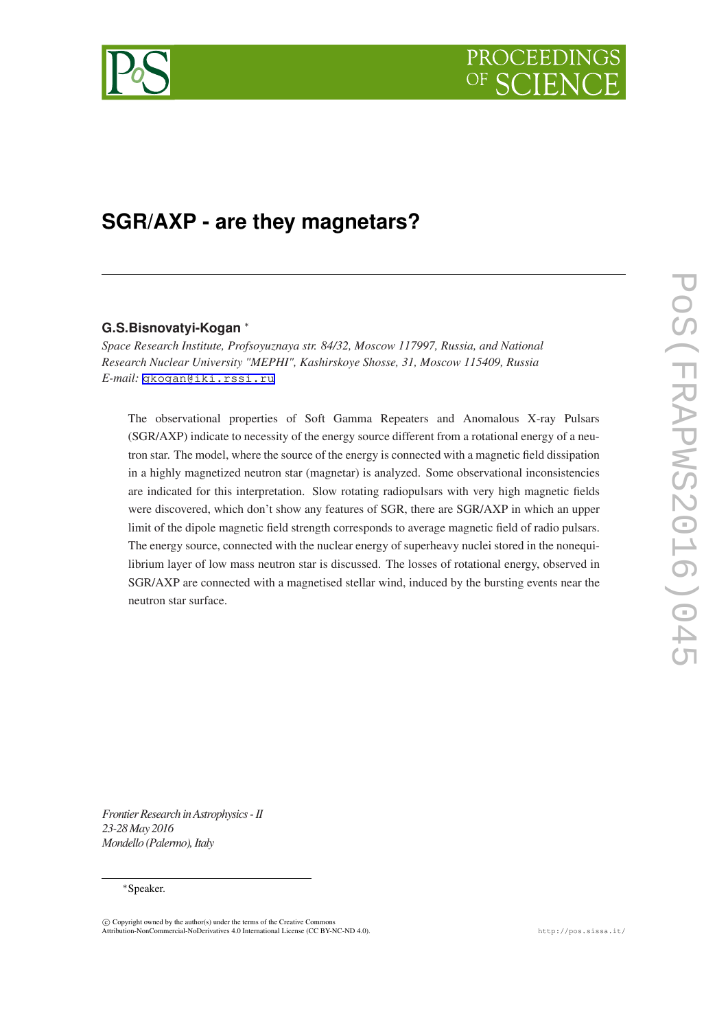

# **SGR/AXP - are they magnetars?**

### **G.S.Bisnovatyi-Kogan**

*Space Research Institute, Profsoyuznaya str. 84/32, Moscow 117997, Russia, and National Research Nuclear University "MEPHI", Kashirskoye Shosse, 31, Moscow 115409, Russia E-mail:* [gkogan@iki.rssi.ru](mailto:gkogan@iki.rssi.ru)

The observational properties of Soft Gamma Repeaters and Anomalous X-ray Pulsars (SGR/AXP) indicate to necessity of the energy source different from a rotational energy of a neutron star. The model, where the source of the energy is connected with a magnetic field dissipation in a highly magnetized neutron star (magnetar) is analyzed. Some observational inconsistencies are indicated for this interpretation. Slow rotating radiopulsars with very high magnetic fields were discovered, which don't show any features of SGR, there are SGR/AXP in which an upper limit of the dipole magnetic field strength corresponds to average magnetic field of radio pulsars. The energy source, connected with the nuclear energy of superheavy nuclei stored in the nonequilibrium layer of low mass neutron star is discussed. The losses of rotational energy, observed in SGR/AXP are connected with a magnetised stellar wind, induced by the bursting events near the neutron star surface.

*Frontier Research in Astrophysics – II 23-28 May 2016 Mondello (Palermo), Italy*

### *∗*Speaker.

 $\circled{c}$  Copyright owned by the author(s) under the terms of the Creative Common Attribution-NonCommercial-NoDerivatives 4.0 International License (CC BY-NC-ND 4.0). http://pos.sissa.it/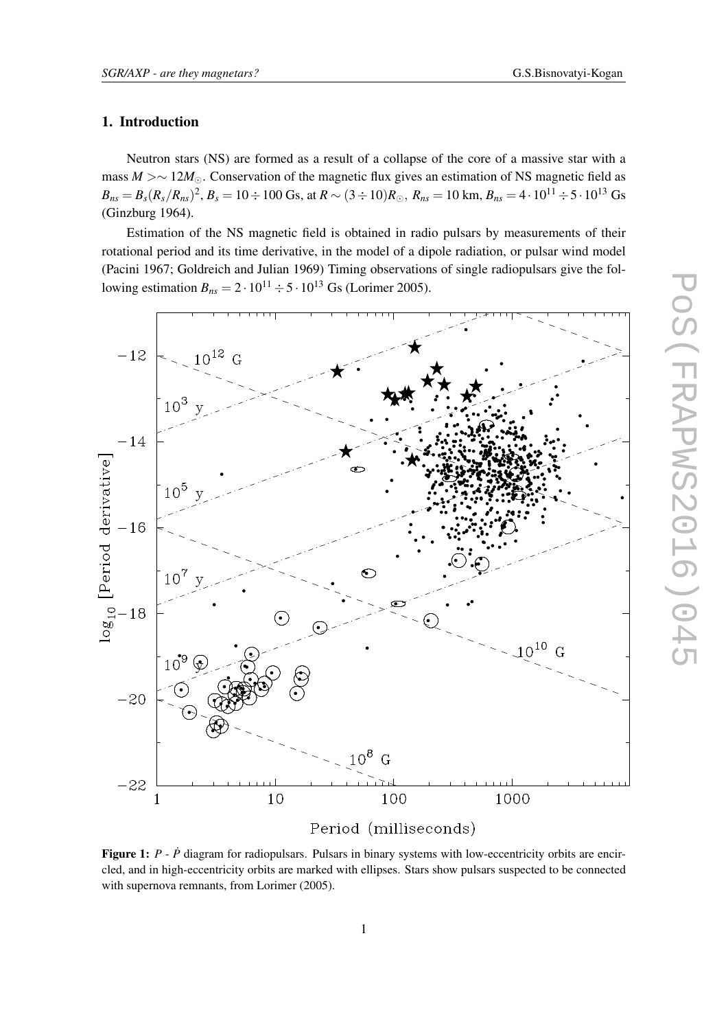### 1. Introduction

Neutron stars (NS) are formed as a result of a collapse of the core of a massive star with a mass *M >∼* 12*M⊙*. Conservation of the magnetic flux gives an estimation of NS magnetic field as  $B_{ns} = B_s (R_s/R_{ns})^2$ ,  $B_s = 10 \div 100$  Gs, at  $R \sim (3 \div 10)R_{\odot}$ ,  $R_{ns} = 10$  km,  $B_{ns} = 4 \cdot 10^{11} \div 5 \cdot 10^{13}$  Gs (Ginzburg 1964).

Estimation of the NS magnetic field is obtained in radio pulsars by measurements of their rotational period and its time derivative, in the model of a dipole radiation, or pulsar wind model (Pacini 1967; Goldreich and Julian 1969) Timing observations of single radiopulsars give the following estimation  $B_{ns} = 2 \cdot 10^{11} \div 5 \cdot 10^{13}$  Gs (Lorimer 2005).



Figure 1: *P* - *P*<sup></sup> diagram for radiopulsars. Pulsars in binary systems with low-eccentricity orbits are encircled, and in high-eccentricity orbits are marked with ellipses. Stars show pulsars suspected to be connected with supernova remnants, from Lorimer (2005).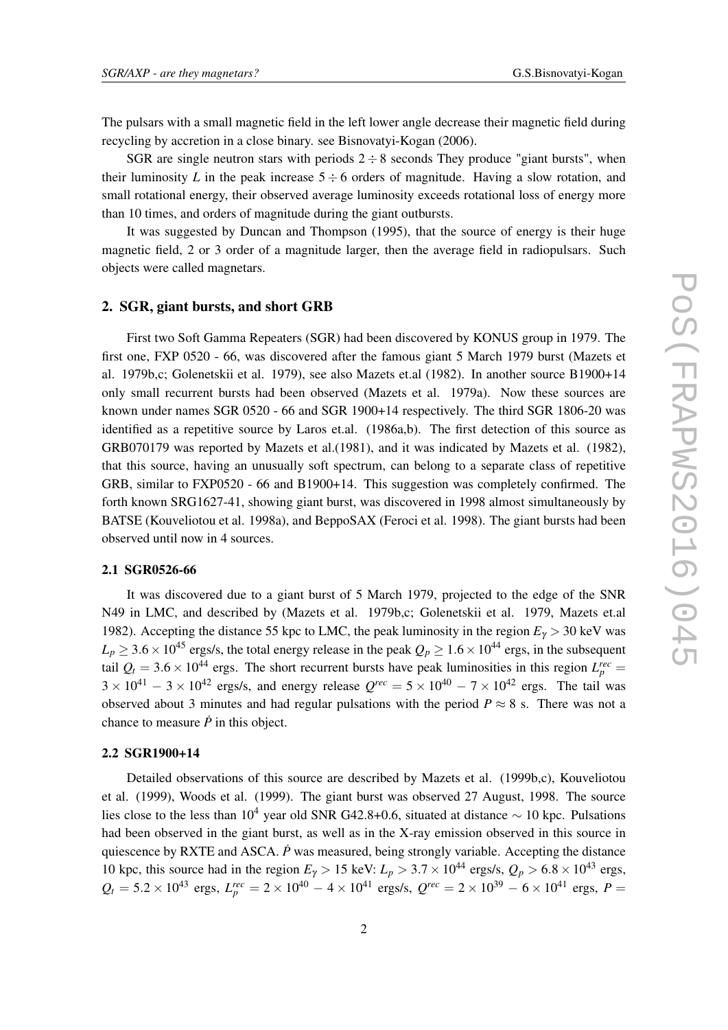The pulsars with a small magnetic field in the left lower angle decrease their magnetic field during recycling by accretion in a close binary. see Bisnovatyi-Kogan (2006).

SGR are single neutron stars with periods  $2 \div 8$  seconds They produce "giant bursts", when their luminosity *L* in the peak increase  $5 \div 6$  orders of magnitude. Having a slow rotation, and small rotational energy, their observed average luminosity exceeds rotational loss of energy more than 10 times, and orders of magnitude during the giant outbursts.

It was suggested by Duncan and Thompson (1995), that the source of energy is their huge magnetic field, 2 or 3 order of a magnitude larger, then the average field in radiopulsars. Such objects were called magnetars.

### 2. SGR, giant bursts, and short GRB

First two Soft Gamma Repeaters (SGR) had been discovered by KONUS group in 1979. The first one, FXP 0520 - 66, was discovered after the famous giant 5 March 1979 burst (Mazets et al. 1979b,c; Golenetskii et al. 1979), see also Mazets et.al (1982). In another source B1900+14 only small recurrent bursts had been observed (Mazets et al. 1979a). Now these sources are known under names SGR 0520 - 66 and SGR 1900+14 respectively. The third SGR 1806-20 was identified as a repetitive source by Laros et.al. (1986a,b). The first detection of this source as GRB070179 was reported by Mazets et al.(1981), and it was indicated by Mazets et al. (1982), that this source, having an unusually soft spectrum, can belong to a separate class of repetitive GRB, similar to FXP0520 - 66 and B1900+14. This suggestion was completely confirmed. The forth known SRG1627-41, showing giant burst, was discovered in 1998 almost simultaneously by BATSE (Kouveliotou et al. 1998a), and BeppoSAX (Feroci et al. 1998). The giant bursts had been observed until now in 4 sources.

### 2.1 SGR0526-66

It was discovered due to a giant burst of 5 March 1979, projected to the edge of the SNR N49 in LMC, and described by (Mazets et al. 1979b,c; Golenetskii et al. 1979, Mazets et.al 1982). Accepting the distance 55 kpc to LMC, the peak luminosity in the region  $E<sub>\gamma</sub>$  > 30 keV was  $L_p \geq 3.6 \times 10^{45}$  ergs/s, the total energy release in the peak  $Q_p \geq 1.6 \times 10^{44}$  ergs, in the subsequent tail  $Q_t = 3.6 \times 10^{44}$  ergs. The short recurrent bursts have peak luminosities in this region  $L_p^{rec} =$  $3 \times 10^{41} - 3 \times 10^{42}$  ergs/s, and energy release  $Q^{rec} = 5 \times 10^{40} - 7 \times 10^{42}$  ergs. The tail was observed about 3 minutes and had regular pulsations with the period  $P \approx 8$  s. There was not a chance to measure  $\dot{P}$  in this object.

### 2.2 SGR1900+14

Detailed observations of this source are described by Mazets et al. (1999b,c), Kouveliotou et al. (1999), Woods et al. (1999). The giant burst was observed 27 August, 1998. The source lies close to the less than <sup>10</sup><sup>4</sup> year old SNR G42.8+0.6, situated at distance *<sup>∼</sup>* <sup>10</sup> kpc. Pulsations had been observed in the giant burst, as well as in the X-ray emission observed in this source in quiescence by RXTE and ASCA.  $\dot{P}$  was measured, being strongly variable. Accepting the distance 10 kpc, this source had in the region  $E_{\gamma}$  > 15 keV:  $L_p$  > 3.7  $\times$  10<sup>44</sup> ergs/s,  $Q_p$  > 6.8  $\times$  10<sup>43</sup> ergs,  $Q_t = 5.2 \times 10^{43}$  ergs,  $L_p^{rec} = 2 \times 10^{40} - 4 \times 10^{41}$  ergs/s,  $Q^{rec} = 2 \times 10^{39} - 6 \times 10^{41}$  ergs,  $P =$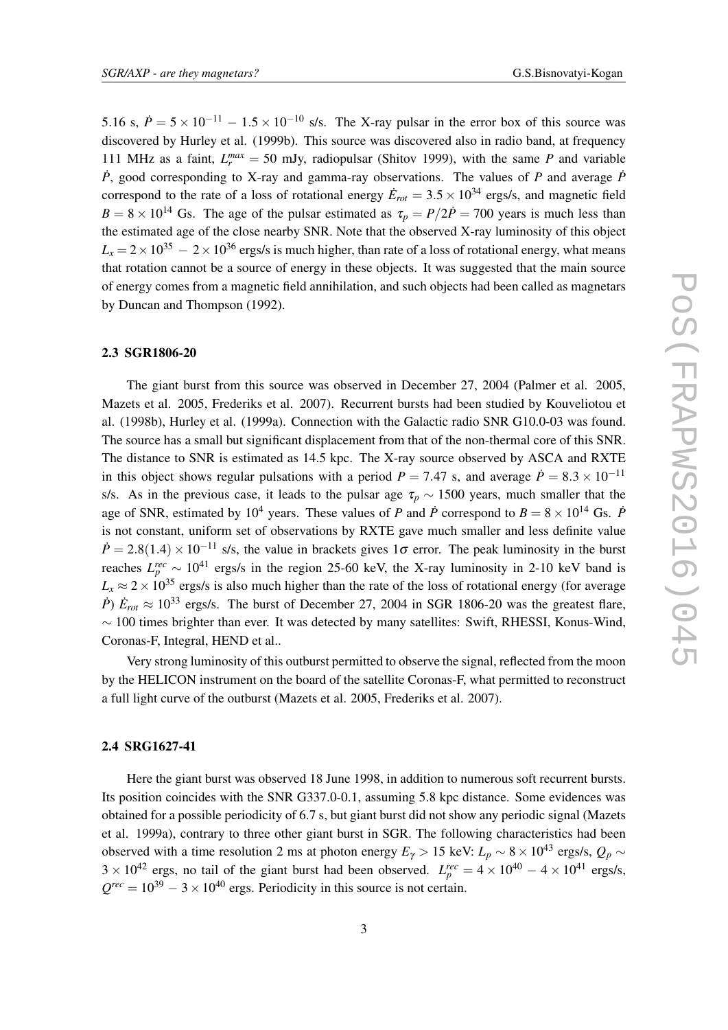5.16 s,  $P = 5 \times 10^{-11} - 1.5 \times 10^{-10}$  s/s. The X-ray pulsar in the error box of this source was discovered by Hurley et al. (1999b). This source was discovered also in radio band, at frequency 111 MHz as a faint,  $L_r^{max} = 50$  mJy, radiopulsar (Shitov 1999), with the same *P* and variable  $\dot{P}$ , good corresponding to X-ray and gamma-ray observations. The values of *P* and average  $\dot{P}$ correspond to the rate of a loss of rotational energy  $\dot{E}_{rot} = 3.5 \times 10^{34}$  ergs/s, and magnetic field  $B = 8 \times 10^{14}$  Gs. The age of the pulsar estimated as  $\tau_p = P/2P = 700$  years is much less than the estimated age of the close nearby SNR. Note that the observed X-ray luminosity of this object  $L<sub>x</sub> = 2 \times 10^{35} - 2 \times 10^{36}$  ergs/s is much higher, than rate of a loss of rotational energy, what means that rotation cannot be a source of energy in these objects. It was suggested that the main source of energy comes from a magnetic field annihilation, and such objects had been called as magnetars by Duncan and Thompson (1992).

### 2.3 SGR1806-20

The giant burst from this source was observed in December 27, 2004 (Palmer et al. 2005, Mazets et al. 2005, Frederiks et al. 2007). Recurrent bursts had been studied by Kouveliotou et al. (1998b), Hurley et al. (1999a). Connection with the Galactic radio SNR G10.0-03 was found. The source has a small but significant displacement from that of the non-thermal core of this SNR. The distance to SNR is estimated as 14.5 kpc. The X-ray source observed by ASCA and RXTE in this object shows regular pulsations with a period  $P = 7.47$  s, and average  $\dot{P} = 8.3 \times 10^{-11}$ s/s. As in the previous case, it leads to the pulsar age  $\tau_p \sim 1500$  years, much smaller that the age of SNR, estimated by 10<sup>4</sup> years. These values of *P* and  $\dot{P}$  correspond to  $B = 8 \times 10^{14}$  Gs.  $\dot{P}$ is not constant, uniform set of observations by RXTE gave much smaller and less definite value  $\dot{P} = 2.8(1.4) \times 10^{-11}$  s/s, the value in brackets gives 1 $\sigma$  error. The peak luminosity in the burst reaches  $L_p^{rec} \sim 10^{41}$  ergs/s in the region 25-60 keV, the X-ray luminosity in 2-10 keV band is  $L_x \approx 2 \times 10^{35}$  ergs/s is also much higher than the rate of the loss of rotational energy (for average *P*<sup> $\dot{P}$ </sup> $\dot{E}_{rot} \approx 10^{33}$  ergs/s. The burst of December 27, 2004 in SGR 1806-20 was the greatest flare, *∼* 100 times brighter than ever. It was detected by many satellites: Swift, RHESSI, Konus-Wind, Coronas-F, Integral, HEND et al..

Very strong luminosity of this outburst permitted to observe the signal, reflected from the moon by the HELICON instrument on the board of the satellite Coronas-F, what permitted to reconstruct a full light curve of the outburst (Mazets et al. 2005, Frederiks et al. 2007).

### 2.4 SRG1627-41

Here the giant burst was observed 18 June 1998, in addition to numerous soft recurrent bursts. Its position coincides with the SNR G337.0-0.1, assuming 5.8 kpc distance. Some evidences was obtained for a possible periodicity of 6.7 s, but giant burst did not show any periodic signal (Mazets et al. 1999a), contrary to three other giant burst in SGR. The following characteristics had been observed with a time resolution 2 ms at photon energy  $E_\gamma > 15$  keV:  $L_p \sim 8 \times 10^{43}$  ergs/s,  $Q_p \sim$  $3 \times 10^{42}$  ergs, no tail of the giant burst had been observed.  $L_p^{rec} = 4 \times 10^{40} - 4 \times 10^{41}$  ergs/s,  $Q^{rec} = 10^{39} - 3 \times 10^{40}$  ergs. Periodicity in this source is not certain.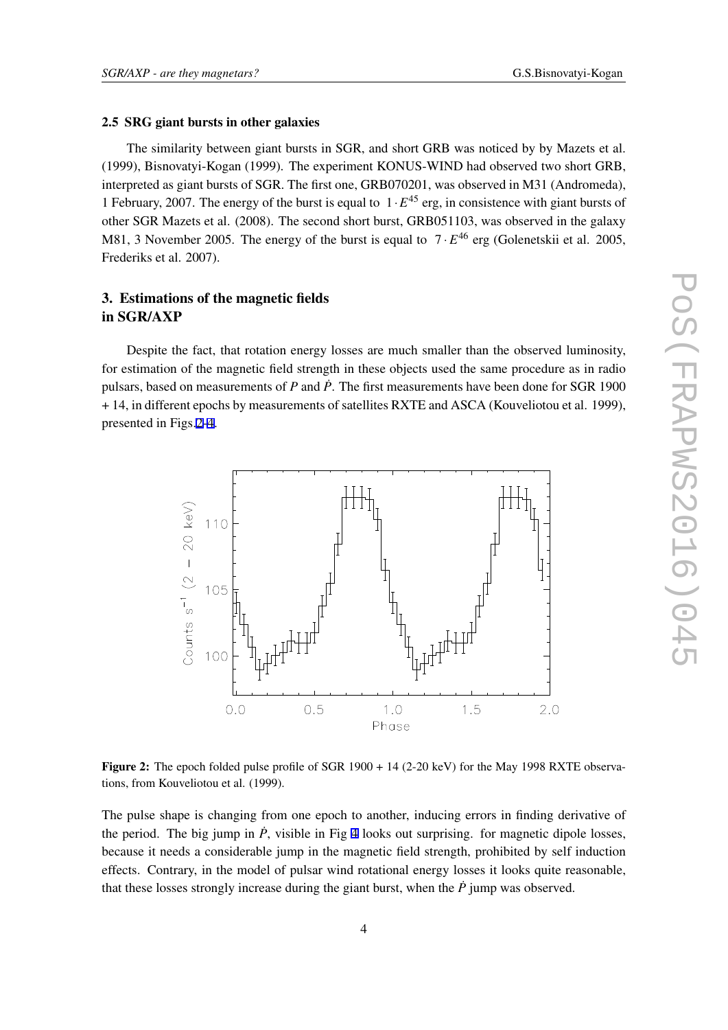### <span id="page-4-0"></span>2.5 SRG giant bursts in other galaxies

The similarity between giant bursts in SGR, and short GRB was noticed by by Mazets et al. (1999), Bisnovatyi-Kogan (1999). The experiment KONUS-WIND had observed two short GRB, interpreted as giant bursts of SGR. The first one, GRB070201, was observed in M31 (Andromeda), 1 February, 2007. The energy of the burst is equal to  $1 \cdot E^{45}$  erg, in consistence with giant bursts of other SGR Mazets et al. (2008). The second short burst, GRB051103, was observed in the galaxy M81, 3 November 2005. The energy of the burst is equal to  $7 \cdot E^{46}$  erg (Golenetskii et al. 2005, Frederiks et al. 2007).

# 3. Estimations of the magnetic fields in SGR/AXP

Despite the fact, that rotation energy losses are much smaller than the observed luminosity, for estimation of the magnetic field strength in these objects used the same procedure as in radio pulsars, based on measurements of *P* and *P*˙. The first measurements have been done for SGR 1900 + 14, in different epochs by measurements of satellites RXTE and ASCA (Kouveliotou et al. 1999), presented in Figs.2-[4](#page-5-0).



Figure 2: The epoch folded pulse profile of SGR 1900 + 14 (2-20 keV) for the May 1998 RXTE observations, from Kouveliotou et al. (1999).

The pulse shape is changing from one epoch to another, inducing errors in finding derivative of the period. The big jump in  $\dot{P}$ , visible in Fig [4](#page-5-0) looks out surprising. for magnetic dipole losses, because it needs a considerable jump in the magnetic field strength, prohibited by self induction effects. Contrary, in the model of pulsar wind rotational energy losses it looks quite reasonable, that these losses strongly increase during the giant burst, when the  $\dot{P}$  jump was observed.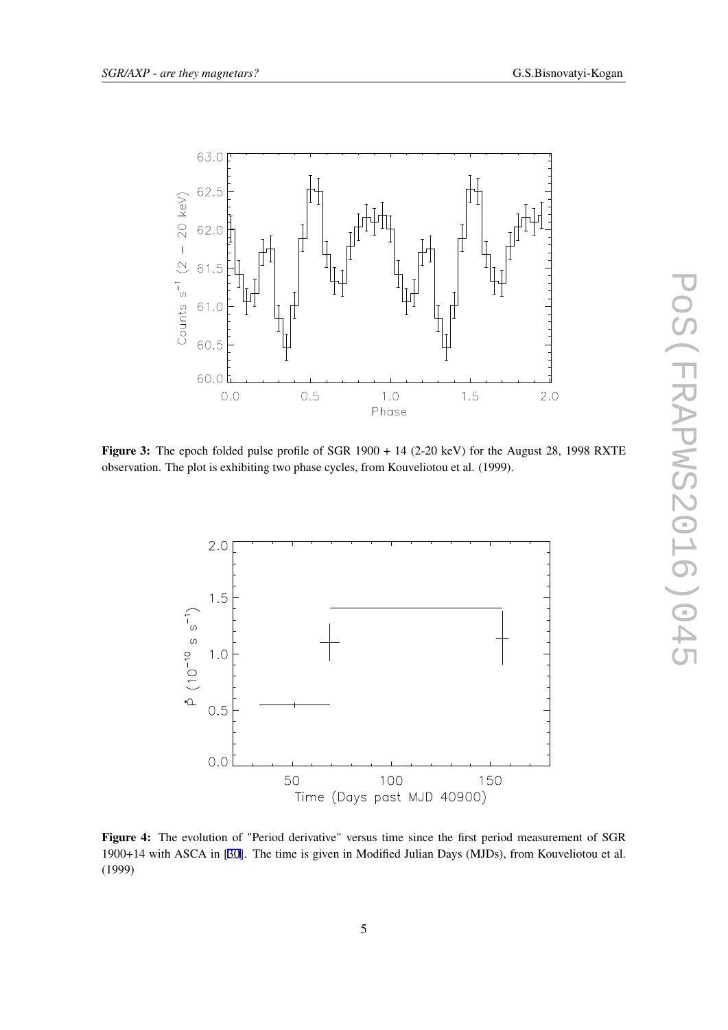<span id="page-5-0"></span>

Figure 3: The epoch folded pulse profile of SGR 1900 + 14 (2-20 keV) for the August 28, 1998 RXTE observation. The plot is exhibiting two phase cycles, from Kouveliotou et al. (1999).



Figure 4: The evolution of "Period derivative" versus time since the first period measurement of SGR 1900+14 with ASCA in [\[30](#page-14-0)]. The time is given in Modified Julian Days (MJDs), from Kouveliotou et al. (1999)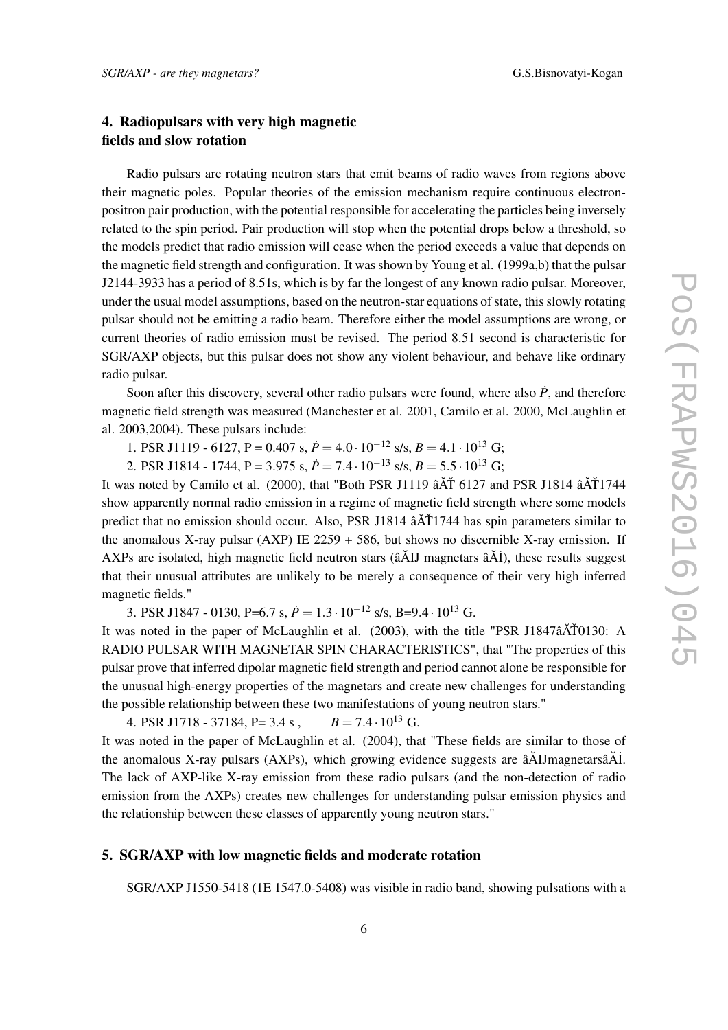# <span id="page-6-0"></span>4. Radiopulsars with very high magnetic fields and slow rotation

Radio pulsars are rotating neutron stars that emit beams of radio waves from regions above their magnetic poles. Popular theories of the emission mechanism require continuous electronpositron pair production, with the potential responsible for accelerating the particles being inversely related to the spin period. Pair production will stop when the potential drops below a threshold, so the models predict that radio emission will cease when the period exceeds a value that depends on the magnetic field strength and configuration. It was shown by Young et al. (1999a,b) that the pulsar J2144-3933 has a period of 8.51s, which is by far the longest of any known radio pulsar. Moreover, under the usual model assumptions, based on the neutron-star equations of state, this slowly rotating pulsar should not be emitting a radio beam. Therefore either the model assumptions are wrong, or current theories of radio emission must be revised. The period 8.51 second is characteristic for SGR/AXP objects, but this pulsar does not show any violent behaviour, and behave like ordinary radio pulsar.

Soon after this discovery, several other radio pulsars were found, where also  $\dot{P}$ , and therefore magnetic field strength was measured (Manchester et al. 2001, Camilo et al. 2000, McLaughlin et al. 2003,2004). These pulsars include:

1. PSR J1119 - 6127, P = 0.407 s,  $\dot{P} = 4.0 \cdot 10^{-12}$  s/s, B = 4.1  $\cdot 10^{13}$  G:

2. PSR J1814 - 1744,  $P = 3.975$  s,  $\dot{P} = 7.4 \cdot 10^{-13}$  s/s,  $B = 5.5 \cdot 10^{13}$  G;

It was noted by Camilo et al. (2000), that "Both PSR J1119 â AT 6127 and PSR J1814 â AT 1744 show apparently normal radio emission in a regime of magnetic field strength where some models predict that no emission should occur. Also, PSR J1814  $\tilde{a}$ A $\check{T}$ 1744 has spin parameters similar to the anomalous X-ray pulsar (AXP) IE  $2259 + 586$ , but shows no discernible X-ray emission. If AXPs are isolated, high magnetic field neutron stars ( $\hat{a}$ AIJ magnetars  $\hat{a}$ AI), these results suggest that their unusual attributes are unlikely to be merely a consequence of their very high inferred magnetic fields."

3. PSR J1847 - 0130, P=6.7 s,  $\dot{P} = 1.3 \cdot 10^{-12}$  s/s, B=9.4  $\cdot 10^{13}$  G.

It was noted in the paper of McLaughlin et al.  $(2003)$ , with the title "PSR J1847â $\check{A}$ T0130: A RADIO PULSAR WITH MAGNETAR SPIN CHARACTERISTICS", that "The properties of this pulsar prove that inferred dipolar magnetic field strength and period cannot alone be responsible for the unusual high-energy properties of the magnetars and create new challenges for understanding the possible relationship between these two manifestations of young neutron stars."

4. PSR J1718 - 37184, P= 3.4 s,  $B = 7.4 \cdot 10^{13}$  G.

It was noted in the paper of McLaughlin et al. (2004), that "These fields are similar to those of the anomalous X-ray pulsars  $(AXPs)$ , which growing evidence suggests are  $\hat{a}$ AIJmagnetars $\hat{a}$ AI. The lack of AXP-like X-ray emission from these radio pulsars (and the non-detection of radio emission from the AXPs) creates new challenges for understanding pulsar emission physics and the relationship between these classes of apparently young neutron stars."

# 5. SGR/AXP with low magnetic fields and moderate rotation

SGR/AXP J1550-5418 (1E 1547.0-5408) was visible in radio band, showing pulsations with a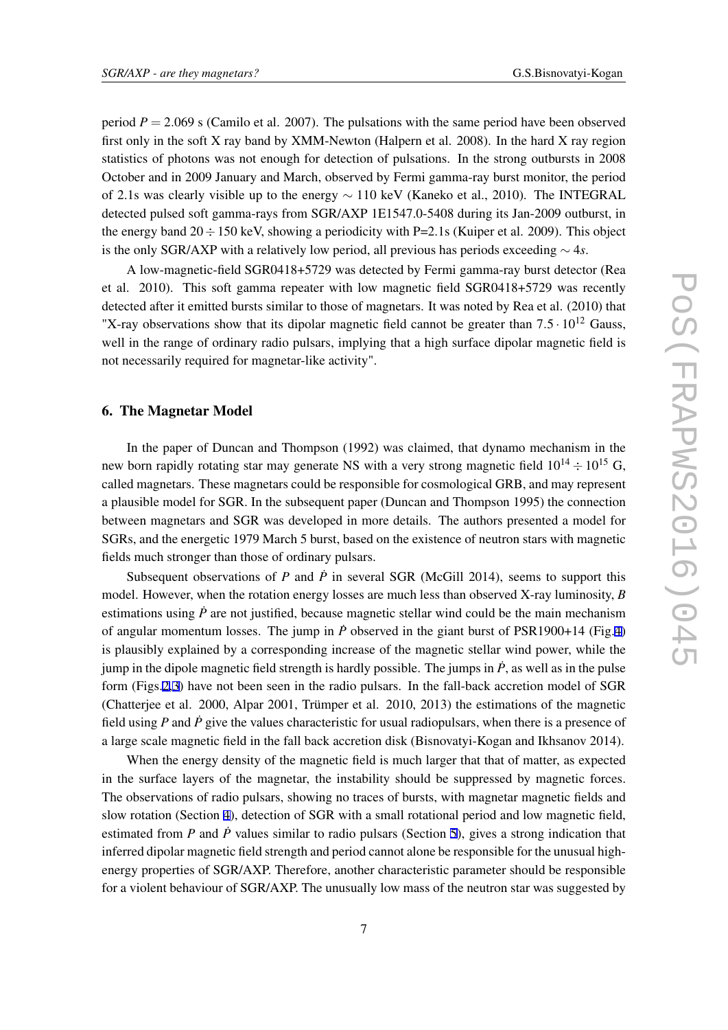period  $P = 2.069$  s (Camilo et al. 2007). The pulsations with the same period have been observed first only in the soft X ray band by XMM-Newton (Halpern et al. 2008). In the hard X ray region statistics of photons was not enough for detection of pulsations. In the strong outbursts in 2008 October and in 2009 January and March, observed by Fermi gamma-ray burst monitor, the period of 2.1s was clearly visible up to the energy *∼* 110 keV (Kaneko et al., 2010). The INTEGRAL detected pulsed soft gamma-rays from SGR/AXP 1E1547.0-5408 during its Jan-2009 outburst, in the energy band 20*÷*150 keV, showing a periodicity with P=2.1s (Kuiper et al. 2009). This object is the only SGR/AXP with a relatively low period, all previous has periods exceeding *∼* 4*s*.

A low-magnetic-field SGR0418+5729 was detected by Fermi gamma-ray burst detector (Rea et al. 2010). This soft gamma repeater with low magnetic field SGR0418+5729 was recently detected after it emitted bursts similar to those of magnetars. It was noted by Rea et al. (2010) that "X-ray observations show that its dipolar magnetic field cannot be greater than <sup>7</sup>*.*<sup>5</sup> *·* <sup>10</sup><sup>12</sup> Gauss, well in the range of ordinary radio pulsars, implying that a high surface dipolar magnetic field is not necessarily required for magnetar-like activity".

## 6. The Magnetar Model

In the paper of Duncan and Thompson (1992) was claimed, that dynamo mechanism in the new born rapidly rotating star may generate NS with a very strong magnetic field  $10^{14} \div 10^{15}$  G, called magnetars. These magnetars could be responsible for cosmological GRB, and may represent a plausible model for SGR. In the subsequent paper (Duncan and Thompson 1995) the connection between magnetars and SGR was developed in more details. The authors presented a model for SGRs, and the energetic 1979 March 5 burst, based on the existence of neutron stars with magnetic fields much stronger than those of ordinary pulsars.

Subsequent observations of *P* and *P* in several SGR (McGill 2014), seems to support this model. However, when the rotation energy losses are much less than observed X-ray luminosity, *B* estimations using  $\dot{P}$  are not justified, because magnetic stellar wind could be the main mechanism of angular momentum losses. The jump in *P*˙ observed in the giant burst of PSR1900+14 (Fig.[4](#page-5-0)) is plausibly explained by a corresponding increase of the magnetic stellar wind power, while the jump in the dipole magnetic field strength is hardly possible. The jumps in  $\dot{P}$ , as well as in the pulse form (Figs.[2](#page-4-0)[,3\)](#page-5-0) have not been seen in the radio pulsars. In the fall-back accretion model of SGR (Chatterjee et al. 2000, Alpar 2001, Trümper et al. 2010, 2013) the estimations of the magnetic field using *P* and *P*<sup> $\dot{p}$ </sup> give the values characteristic for usual radiopulsars, when there is a presence of a large scale magnetic field in the fall back accretion disk (Bisnovatyi-Kogan and Ikhsanov 2014).

When the energy density of the magnetic field is much larger that that of matter, as expected in the surface layers of the magnetar, the instability should be suppressed by magnetic forces. The observations of radio pulsars, showing no traces of bursts, with magnetar magnetic fields and slow rotation (Section [4](#page-6-0)), detection of SGR with a small rotational period and low magnetic field, estimated from *P* and *P*˙ values similar to radio pulsars (Section [5\)](#page-6-0), gives a strong indication that inferred dipolar magnetic field strength and period cannot alone be responsible for the unusual highenergy properties of SGR/AXP. Therefore, another characteristic parameter should be responsible for a violent behaviour of SGR/AXP. The unusually low mass of the neutron star was suggested by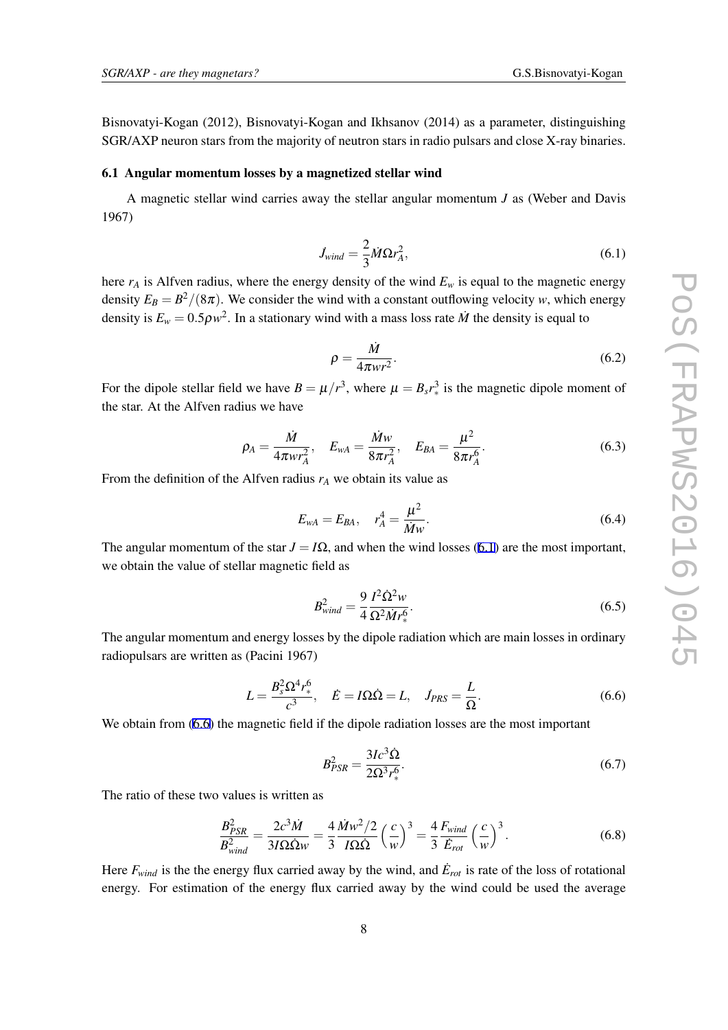Bisnovatyi-Kogan (2012), Bisnovatyi-Kogan and Ikhsanov (2014) as a parameter, distinguishing SGR/AXP neuron stars from the majority of neutron stars in radio pulsars and close X-ray binaries.

#### 6.1 Angular momentum losses by a magnetized stellar wind

A magnetic stellar wind carries away the stellar angular momentum *J* as (Weber and Davis 1967)

$$
\dot{J}_{wind} = \frac{2}{3} \dot{M} \Omega r_A^2,\tag{6.1}
$$

here  $r_A$  is Alfven radius, where the energy density of the wind  $E_w$  is equal to the magnetic energy density  $E_B = B^2/(8\pi)$ . We consider the wind with a constant outflowing velocity *w*, which energy density is  $E_w = 0.5 \rho w^2$ . In a stationary wind with a mass loss rate  $\dot{M}$  the density is equal to

$$
\rho = \frac{\dot{M}}{4\pi wr^2}.
$$
\n(6.2)

For the dipole stellar field we have  $B = \mu/r^3$ , where  $\mu = B_s r_*^3$ *∗* is the magnetic dipole moment of the star. At the Alfven radius we have

$$
\rho_A = \frac{\dot{M}}{4\pi w r_A^2}, \quad E_{wA} = \frac{\dot{M}w}{8\pi r_A^2}, \quad E_{BA} = \frac{\mu^2}{8\pi r_A^6}.
$$
\n(6.3)

From the definition of the Alfven radius *r<sup>A</sup>* we obtain its value as

$$
E_{WA} = E_{BA}, \quad r_A^4 = \frac{\mu^2}{\dot{M}w}.
$$
\n(6.4)

The angular momentum of the star  $J = I\Omega$ , and when the wind losses (6.1) are the most important, we obtain the value of stellar magnetic field as

$$
B_{wind}^2 = \frac{9}{4} \frac{I^2 \dot{\Omega}^2 w}{\Omega^2 \dot{M} r_*^6}.
$$
\n(6.5)

The angular momentum and energy losses by the dipole radiation which are main losses in ordinary radiopulsars are written as (Pacini 1967)

$$
L = \frac{B_s^2 \Omega^4 r_*^6}{c^3}, \quad \dot{E} = I \Omega \dot{\Omega} = L, \quad \dot{J}_{PRS} = \frac{L}{\Omega}.
$$
\n
$$
(6.6)
$$

We obtain from  $(6.6)$  the magnetic field if the dipole radiation losses are the most important

$$
B_{PSR}^2 = \frac{3Ic^3\dot{\Omega}}{2\Omega^3 r_*^6}.
$$
\n
$$
(6.7)
$$

The ratio of these two values is written as

$$
\frac{B_{PSR}^2}{B_{wind}^2} = \frac{2c^3\dot{M}}{3I\Omega\dot{\Omega}w} = \frac{4}{3}\frac{\dot{M}w^2/2}{I\Omega\dot{\Omega}}\left(\frac{c}{w}\right)^3 = \frac{4}{3}\frac{F_{wind}}{\dot{E}_{rot}}\left(\frac{c}{w}\right)^3.
$$
(6.8)

Here  $F_{wind}$  is the the energy flux carried away by the wind, and  $\dot{E}_{rot}$  is rate of the loss of rotational energy. For estimation of the energy flux carried away by the wind could be used the average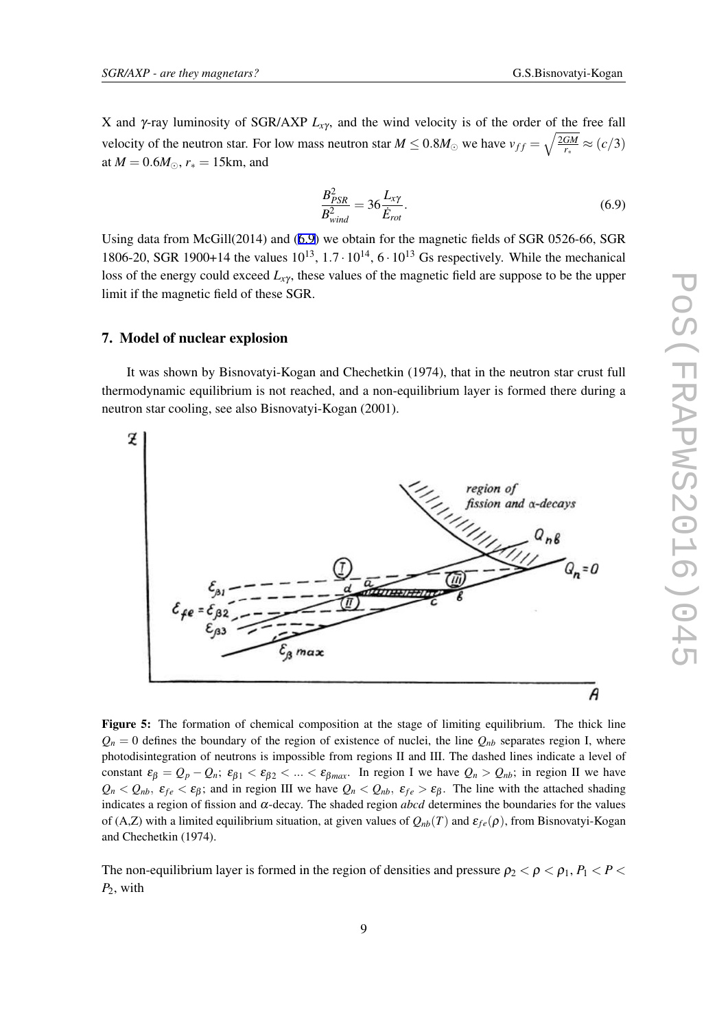<span id="page-9-0"></span>X and  $\gamma$ -ray luminosity of SGR/AXP  $L_{XY}$ , and the wind velocity is of the order of the free fall velocity of the neutron star. For low mass neutron star  $M \le 0.8M_{\odot}$  we have  $v_{ff} = \sqrt{\frac{2GM}{r_*}}$  $\frac{GM}{r_*} \approx (c/3)$ at  $M = 0.6M_{\odot}$ ,  $r_* = 15$ km, and

$$
\frac{B_{PSR}^2}{B_{wind}^2} = 36 \frac{L_{x\gamma}}{\dot{E}_{rot}}.\tag{6.9}
$$

Using data from McGill(2014) and (6.9) we obtain for the magnetic fields of SGR 0526-66, SGR 1806-20, SGR 1900+14 the values  $10^{13}$ ,  $1.7 \cdot 10^{14}$ ,  $6 \cdot 10^{13}$  Gs respectively. While the mechanical loss of the energy could exceed  $L_{XY}$ , these values of the magnetic field are suppose to be the upper limit if the magnetic field of these SGR.

### 7. Model of nuclear explosion

It was shown by Bisnovatyi-Kogan and Chechetkin (1974), that in the neutron star crust full thermodynamic equilibrium is not reached, and a non-equilibrium layer is formed there during a neutron star cooling, see also Bisnovatyi-Kogan (2001).



Figure 5: The formation of chemical composition at the stage of limiting equilibrium. The thick line  $Q_n = 0$  defines the boundary of the region of existence of nuclei, the line  $Q_{nb}$  separates region I, where photodisintegration of neutrons is impossible from regions II and III. The dashed lines indicate a level of constant  $\varepsilon_{\beta} = Q_p - Q_n$ ;  $\varepsilon_{\beta 1} < \varepsilon_{\beta 2} < ... < \varepsilon_{\beta max}$ . In region I we have  $Q_n > Q_{nb}$ ; in region II we have  $Q_n < Q_{nb}$ ,  $\varepsilon_{fe} < \varepsilon_{\beta}$ ; and in region III we have  $Q_n < Q_{nb}$ ,  $\varepsilon_{fe} > \varepsilon_{\beta}$ . The line with the attached shading indicates a region of fission and  $\alpha$ -decay. The shaded region *abcd* determines the boundaries for the values of (A,Z) with a limited equilibrium situation, at given values of  $Q_{nb}(T)$  and  $\varepsilon_{fe}(\rho)$ , from Bisnovatyi-Kogan and Chechetkin (1974).

The non-equilibrium layer is formed in the region of densities and pressure  $\rho_2 < \rho < \rho_1$ ,  $P_1 < P <$ *P*2, with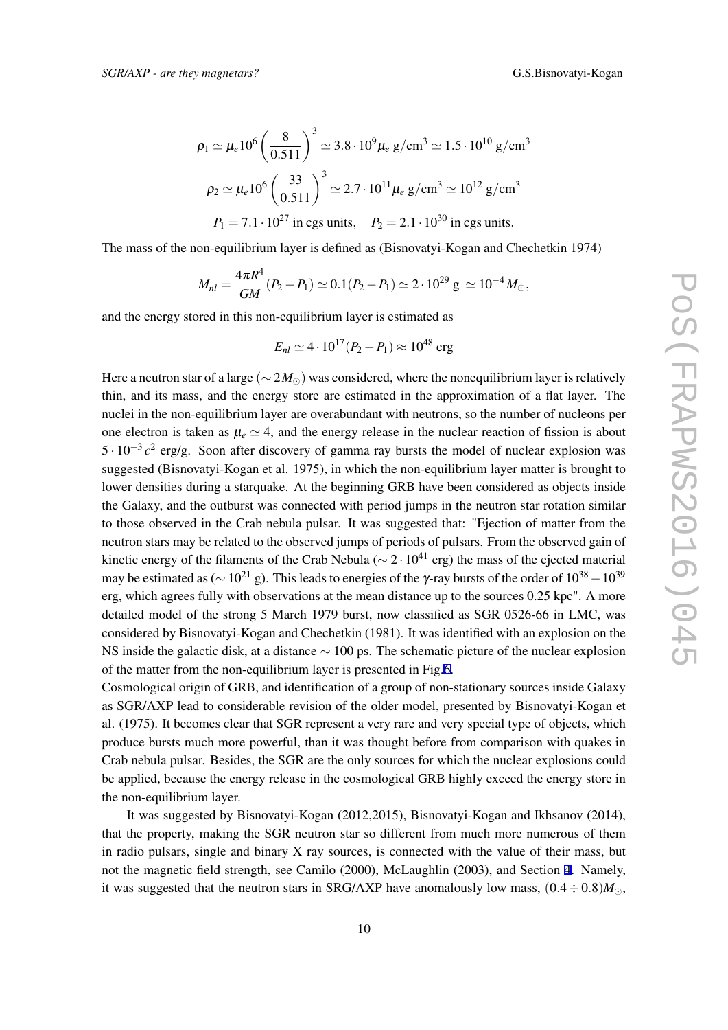$$
\rho_1 \simeq \mu_e 10^6 \left(\frac{8}{0.511}\right)^3 \simeq 3.8 \cdot 10^9 \mu_e \text{ g/cm}^3 \simeq 1.5 \cdot 10^{10} \text{ g/cm}^3
$$
  

$$
\rho_2 \simeq \mu_e 10^6 \left(\frac{33}{0.511}\right)^3 \simeq 2.7 \cdot 10^{11} \mu_e \text{ g/cm}^3 \simeq 10^{12} \text{ g/cm}^3
$$
  

$$
P_1 = 7.1 \cdot 10^{27} \text{ in cgs units}, \quad P_2 = 2.1 \cdot 10^{30} \text{ in cgs units}.
$$

The mass of the non-equilibrium layer is defined as (Bisnovatyi-Kogan and Chechetkin 1974)

$$
M_{nl} = \frac{4\pi R^4}{GM}(P_2 - P_1) \simeq 0.1(P_2 - P_1) \simeq 2 \cdot 10^{29} \text{ g} \simeq 10^{-4} M_{\odot},
$$

and the energy stored in this non-equilibrium layer is estimated as

$$
E_{nl} \simeq 4 \cdot 10^{17} (P_2 - P_1) \approx 10^{48} \text{ erg}
$$

Here a neutron star of a large (*∼* 2*M⊙*) was considered, where the nonequilibrium layer is relatively thin, and its mass, and the energy store are estimated in the approximation of a flat layer. The nuclei in the non-equilibrium layer are overabundant with neutrons, so the number of nucleons per one electron is taken as  $\mu_e \simeq 4$ , and the energy release in the nuclear reaction of fission is about <sup>5</sup> *·* <sup>10</sup>*−*<sup>3</sup> *c* 2 erg/g. Soon after discovery of gamma ray bursts the model of nuclear explosion was suggested (Bisnovatyi-Kogan et al. 1975), in which the non-equilibrium layer matter is brought to lower densities during a starquake. At the beginning GRB have been considered as objects inside the Galaxy, and the outburst was connected with period jumps in the neutron star rotation similar to those observed in the Crab nebula pulsar. It was suggested that: "Ejection of matter from the neutron stars may be related to the observed jumps of periods of pulsars. From the observed gain of kinetic energy of the filaments of the Crab Nebula ( $\sim 2 \cdot 10^{41}$  erg) the mass of the ejected material may be estimated as ( $\sim 10^{21}$  g). This leads to energies of the γ-ray bursts of the order of  $10^{38} - 10^{39}$ erg, which agrees fully with observations at the mean distance up to the sources 0.25 kpc". A more detailed model of the strong 5 March 1979 burst, now classified as SGR 0526-66 in LMC, was considered by Bisnovatyi-Kogan and Chechetkin (1981). It was identified with an explosion on the NS inside the galactic disk, at a distance *∼* 100 ps. The schematic picture of the nuclear explosion of the matter from the non-equilibrium layer is presented in Fig[.6](#page-11-0).

Cosmological origin of GRB, and identification of a group of non-stationary sources inside Galaxy as SGR/AXP lead to considerable revision of the older model, presented by Bisnovatyi-Kogan et al. (1975). It becomes clear that SGR represent a very rare and very special type of objects, which produce bursts much more powerful, than it was thought before from comparison with quakes in Crab nebula pulsar. Besides, the SGR are the only sources for which the nuclear explosions could be applied, because the energy release in the cosmological GRB highly exceed the energy store in the non-equilibrium layer.

It was suggested by Bisnovatyi-Kogan (2012,2015), Bisnovatyi-Kogan and Ikhsanov (2014), that the property, making the SGR neutron star so different from much more numerous of them in radio pulsars, single and binary  $X$  ray sources, is connected with the value of their mass, but not the magnetic field strength, see Camilo (2000), McLaughlin (2003), and Section [4](#page-6-0). Namely, it was suggested that the neutron stars in SRG/AXP have anomalously low mass,  $(0.4 \div 0.8)M_{\odot}$ ,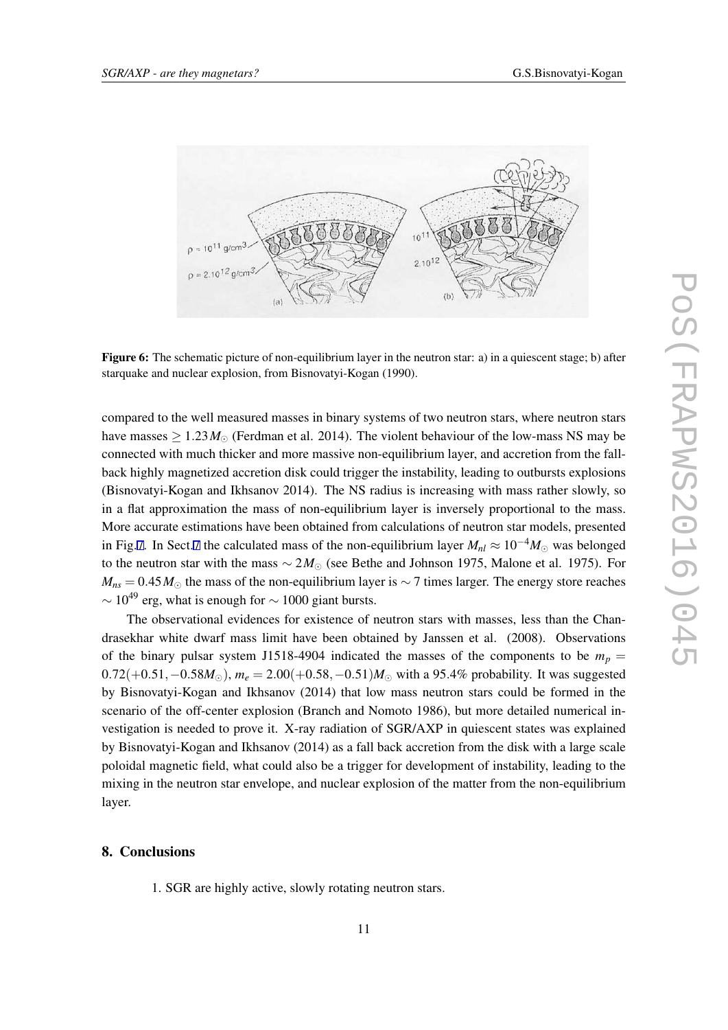<span id="page-11-0"></span>

Figure 6: The schematic picture of non-equilibrium layer in the neutron star: a) in a quiescent stage; b) after starquake and nuclear explosion, from Bisnovatyi-Kogan (1990).

compared to the well measured masses in binary systems of two neutron stars, where neutron stars have masses *≥* 1*.*23*M<sup>⊙</sup>* (Ferdman et al. 2014). The violent behaviour of the low-mass NS may be connected with much thicker and more massive non-equilibrium layer, and accretion from the fallback highly magnetized accretion disk could trigger the instability, leading to outbursts explosions (Bisnovatyi-Kogan and Ikhsanov 2014). The NS radius is increasing with mass rather slowly, so in a flat approximation the mass of non-equilibrium layer is inversely proportional to the mass. More accurate estimations have been obtained from calculations of neutron star models, presented in Fig[.7.](#page-12-0) In Sect[.7](#page-9-0) the calculated mass of the non-equilibrium layer  $M_{nl}$  ≈ 10<sup>−4</sup> $M_{\odot}$  was belonged to the neutron star with the mass *∼* 2*M<sup>⊙</sup>* (see Bethe and Johnson 1975, Malone et al. 1975). For  $M_{ns} = 0.45 M_{\odot}$  the mass of the non-equilibrium layer is  $\sim$  7 times larger. The energy store reaches *<sup>∼</sup>* <sup>10</sup><sup>49</sup> erg, what is enough for *<sup>∼</sup>* <sup>1000</sup> giant bursts.

The observational evidences for existence of neutron stars with masses, less than the Chandrasekhar white dwarf mass limit have been obtained by Janssen et al. (2008). Observations of the binary pulsar system J1518-4904 indicated the masses of the components to be  $m_p =$ 0*.*72(+0*.*51*,−*0*.*58*M⊙*), *m<sup>e</sup>* = 2*.*00(+0*.*58*,−*0*.*51)*M<sup>⊙</sup>* with a 95*.*4% probability. It was suggested by Bisnovatyi-Kogan and Ikhsanov (2014) that low mass neutron stars could be formed in the scenario of the off-center explosion (Branch and Nomoto 1986), but more detailed numerical investigation is needed to prove it. X-ray radiation of SGR/AXP in quiescent states was explained by Bisnovatyi-Kogan and Ikhsanov (2014) as a fall back accretion from the disk with a large scale poloidal magnetic field, what could also be a trigger for development of instability, leading to the mixing in the neutron star envelope, and nuclear explosion of the matter from the non-equilibrium layer.

### 8. Conclusions

1. SGR are highly active, slowly rotating neutron stars.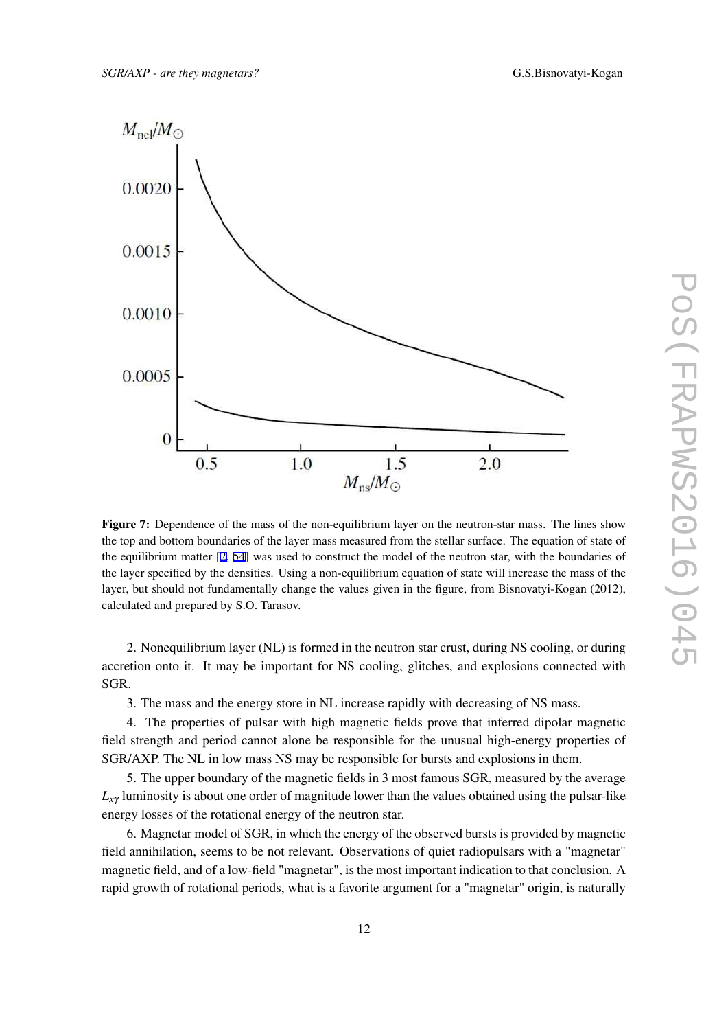<span id="page-12-0"></span>

Figure 7: Dependence of the mass of the non-equilibrium layer on the neutron-star mass. The lines show the top and bottom boundaries of the layer mass measured from the stellar surface. The equation of state of the equilibrium matter [\[2](#page-13-0), [54\]](#page-16-0) was used to construct the model of the neutron star, with the boundaries of the layer specified by the densities. Using a non-equilibrium equation of state will increase the mass of the layer, but should not fundamentally change the values given in the figure, from Bisnovatyi-Kogan (2012), calculated and prepared by S.O. Tarasov.

2. Nonequilibrium layer (NL) is formed in the neutron star crust, during NS cooling, or during accretion onto it. It may be important for NS cooling, glitches, and explosions connected with SGR.

3. The mass and the energy store in NL increase rapidly with decreasing of NS mass.

4. The properties of pulsar with high magnetic fields prove that inferred dipolar magnetic field strength and period cannot alone be responsible for the unusual high-energy properties of SGR/AXP. The NL in low mass NS may be responsible for bursts and explosions in them.

5. The upper boundary of the magnetic fields in 3 most famous SGR, measured by the average  $L_{\chi\gamma}$  luminosity is about one order of magnitude lower than the values obtained using the pulsar-like energy losses of the rotational energy of the neutron star.

6. Magnetar model of SGR, in which the energy of the observed bursts is provided by magnetic field annihilation, seems to be not relevant. Observations of quiet radiopulsars with a "magnetar" magnetic field, and of a low-field "magnetar", is the most important indication to that conclusion. A rapid growth of rotational periods, what is a favorite argument for a "magnetar" origin, is naturally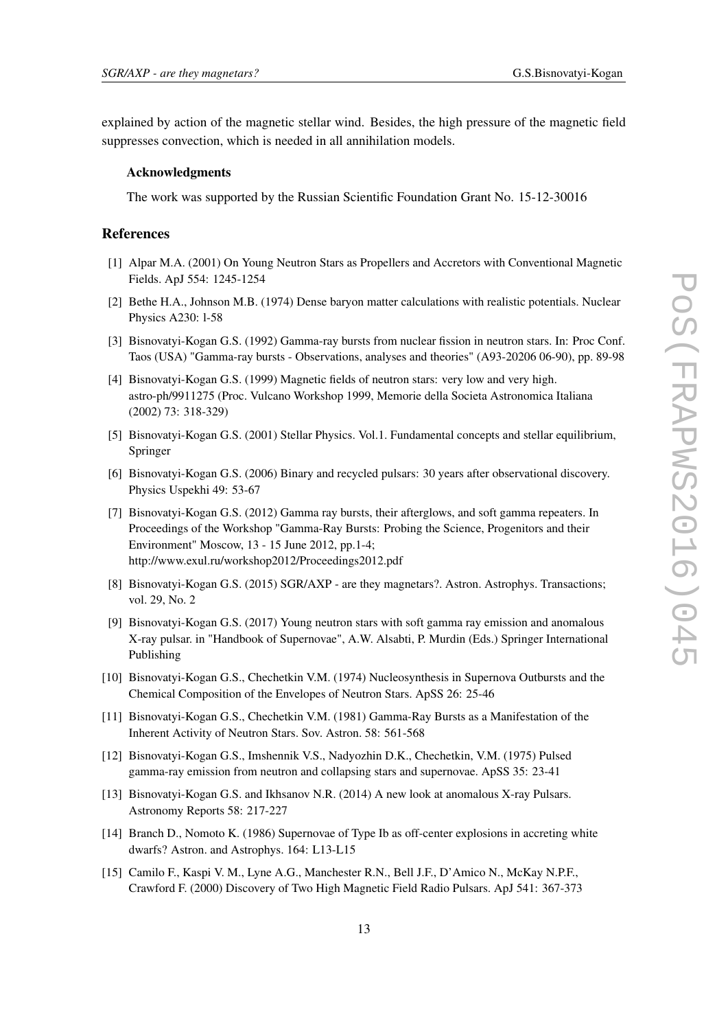<span id="page-13-0"></span>explained by action of the magnetic stellar wind. Besides, the high pressure of the magnetic field suppresses convection, which is needed in all annihilation models.

### Acknowledgments

The work was supported by the Russian Scientific Foundation Grant No. 15-12-30016

# References

- [1] Alpar M.A. (2001) On Young Neutron Stars as Propellers and Accretors with Conventional Magnetic Fields. ApJ 554: 1245-1254
- [2] Bethe H.A., Johnson M.B. (1974) Dense baryon matter calculations with realistic potentials. Nuclear Physics A230: l-58
- [3] Bisnovatyi-Kogan G.S. (1992) Gamma-ray bursts from nuclear fission in neutron stars. In: Proc Conf. Taos (USA) "Gamma-ray bursts - Observations, analyses and theories" (A93-20206 06-90), pp. 89-98
- [4] Bisnovatyi-Kogan G.S. (1999) Magnetic fields of neutron stars: very low and very high. astro-ph/9911275 (Proc. Vulcano Workshop 1999, Memorie della Societa Astronomica Italiana (2002) 73: 318-329)
- [5] Bisnovatyi-Kogan G.S. (2001) Stellar Physics. Vol.1. Fundamental concepts and stellar equilibrium, Springer
- [6] Bisnovatyi-Kogan G.S. (2006) Binary and recycled pulsars: 30 years after observational discovery. Physics Uspekhi 49: 53-67
- [7] Bisnovatyi-Kogan G.S. (2012) Gamma ray bursts, their afterglows, and soft gamma repeaters. In Proceedings of the Workshop "Gamma-Ray Bursts: Probing the Science, Progenitors and their Environment" Moscow, 13 - 15 June 2012, pp.1-4; http://www.exul.ru/workshop2012/Proceedings2012.pdf
- [8] Bisnovatyi-Kogan G.S. (2015) SGR/AXP are they magnetars?. Astron. Astrophys. Transactions; vol. 29, No. 2
- [9] Bisnovatyi-Kogan G.S. (2017) Young neutron stars with soft gamma ray emission and anomalous X-ray pulsar. in "Handbook of Supernovae", A.W. Alsabti, P. Murdin (Eds.) Springer International Publishing
- [10] Bisnovatyi-Kogan G.S., Chechetkin V.M. (1974) Nucleosynthesis in Supernova Outbursts and the Chemical Composition of the Envelopes of Neutron Stars. ApSS 26: 25-46
- [11] Bisnovatyi-Kogan G.S., Chechetkin V.M. (1981) Gamma-Ray Bursts as a Manifestation of the Inherent Activity of Neutron Stars. Sov. Astron. 58: 561-568
- [12] Bisnovatyi-Kogan G.S., Imshennik V.S., Nadyozhin D.K., Chechetkin, V.M. (1975) Pulsed gamma-ray emission from neutron and collapsing stars and supernovae. ApSS 35: 23-41
- [13] Bisnovatyi-Kogan G.S. and Ikhsanov N.R. (2014) A new look at anomalous X-ray Pulsars. Astronomy Reports 58: 217-227
- [14] Branch D., Nomoto K. (1986) Supernovae of Type Ib as off-center explosions in accreting white dwarfs? Astron. and Astrophys. 164: L13-L15
- [15] Camilo F., Kaspi V. M., Lyne A.G., Manchester R.N., Bell J.F., D'Amico N., McKay N.P.F., Crawford F. (2000) Discovery of Two High Magnetic Field Radio Pulsars. ApJ 541: 367-373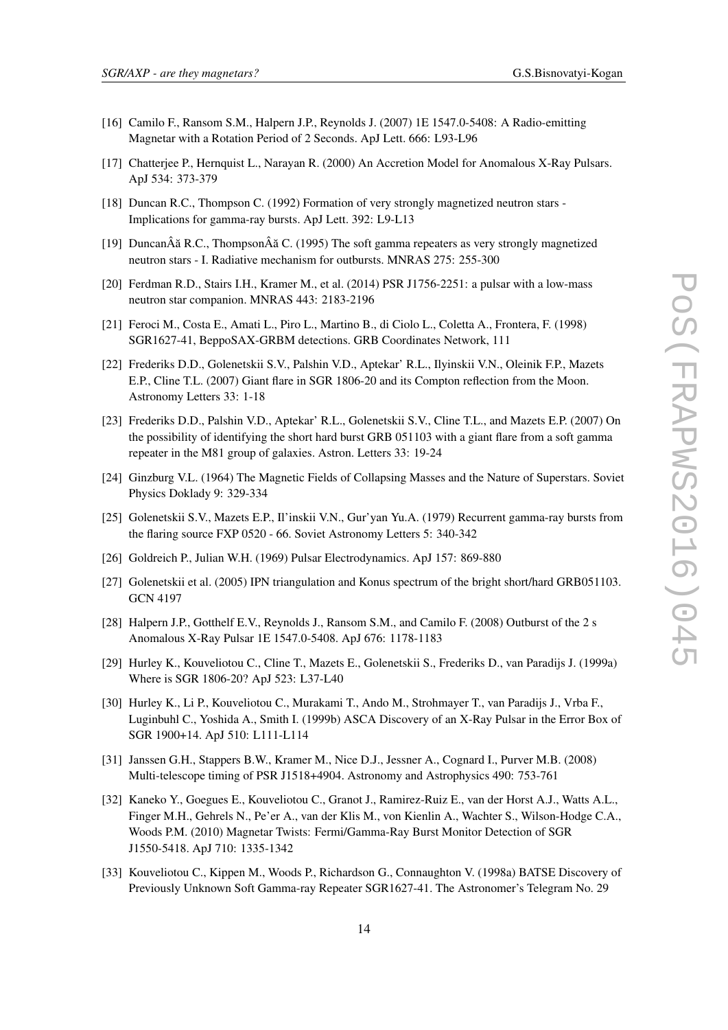- <span id="page-14-0"></span>[16] Camilo F., Ransom S.M., Halpern J.P., Reynolds J. (2007) 1E 1547.0-5408: A Radio-emitting Magnetar with a Rotation Period of 2 Seconds. ApJ Lett. 666: L93-L96
- [17] Chatterjee P., Hernquist L., Narayan R. (2000) An Accretion Model for Anomalous X-Ray Pulsars. ApJ 534: 373-379
- [18] Duncan R.C., Thompson C. (1992) Formation of very strongly magnetized neutron stars Implications for gamma-ray bursts. ApJ Lett. 392: L9-L13
- [19] DuncanÂă R.C., ThompsonÂă C. (1995) The soft gamma repeaters as very strongly magnetized neutron stars - I. Radiative mechanism for outbursts. MNRAS 275: 255-300
- [20] Ferdman R.D., Stairs I.H., Kramer M., et al. (2014) PSR J1756-2251: a pulsar with a low-mass neutron star companion. MNRAS 443: 2183-2196
- [21] Feroci M., Costa E., Amati L., Piro L., Martino B., di Ciolo L., Coletta A., Frontera, F. (1998) SGR1627-41, BeppoSAX-GRBM detections. GRB Coordinates Network, 111
- [22] Frederiks D.D., Golenetskii S.V., Palshin V.D., Aptekar' R.L., Ilyinskii V.N., Oleinik F.P., Mazets E.P., Cline T.L. (2007) Giant flare in SGR 1806-20 and its Compton reflection from the Moon. Astronomy Letters 33: 1-18
- [23] Frederiks D.D., Palshin V.D., Aptekar' R.L., Golenetskii S.V., Cline T.L., and Mazets E.P. (2007) On the possibility of identifying the short hard burst GRB 051103 with a giant flare from a soft gamma repeater in the M81 group of galaxies. Astron. Letters 33: 19-24
- [24] Ginzburg V.L. (1964) The Magnetic Fields of Collapsing Masses and the Nature of Superstars. Soviet Physics Doklady 9: 329-334
- [25] Golenetskii S.V., Mazets E.P., Il'inskii V.N., Gur'yan Yu.A. (1979) Recurrent gamma-ray bursts from the flaring source FXP 0520 - 66. Soviet Astronomy Letters 5: 340-342
- [26] Goldreich P., Julian W.H. (1969) Pulsar Electrodynamics. ApJ 157: 869-880
- [27] Golenetskii et al. (2005) IPN triangulation and Konus spectrum of the bright short/hard GRB051103. GCN 4197
- [28] Halpern J.P., Gotthelf E.V., Reynolds J., Ransom S.M., and Camilo F. (2008) Outburst of the 2 s Anomalous X-Ray Pulsar 1E 1547.0-5408. ApJ 676: 1178-1183
- [29] Hurley K., Kouveliotou C., Cline T., Mazets E., Golenetskii S., Frederiks D., van Paradijs J. (1999a) Where is SGR 1806-20? ApJ 523: L37-L40
- [30] Hurley K., Li P., Kouveliotou C., Murakami T., Ando M., Strohmayer T., van Paradijs J., Vrba F., Luginbuhl C., Yoshida A., Smith I. (1999b) ASCA Discovery of an X-Ray Pulsar in the Error Box of SGR 1900+14. ApJ 510: L111-L114
- [31] Janssen G.H., Stappers B.W., Kramer M., Nice D.J., Jessner A., Cognard I., Purver M.B. (2008) Multi-telescope timing of PSR J1518+4904. Astronomy and Astrophysics 490: 753-761
- [32] Kaneko Y., Goegues E., Kouveliotou C., Granot J., Ramirez-Ruiz E., van der Horst A.J., Watts A.L., Finger M.H., Gehrels N., Pe'er A., van der Klis M., von Kienlin A., Wachter S., Wilson-Hodge C.A., Woods P.M. (2010) Magnetar Twists: Fermi/Gamma-Ray Burst Monitor Detection of SGR J1550-5418. ApJ 710: 1335-1342
- [33] Kouveliotou C., Kippen M., Woods P., Richardson G., Connaughton V. (1998a) BATSE Discovery of Previously Unknown Soft Gamma-ray Repeater SGR1627-41. The Astronomer's Telegram No. 29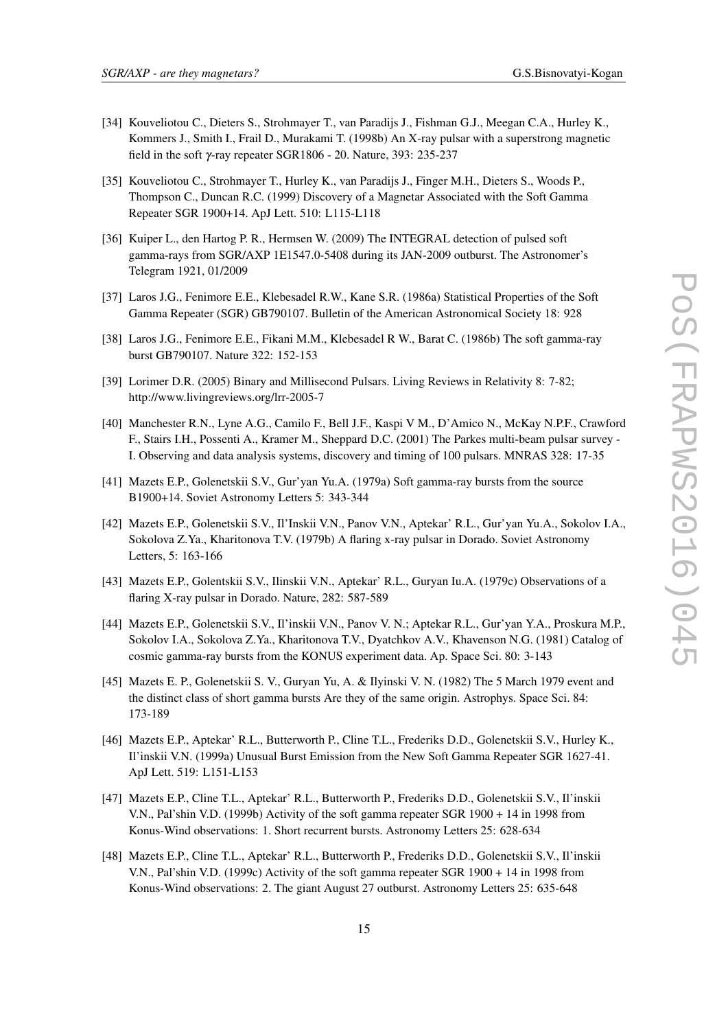- [34] Kouveliotou C., Dieters S., Strohmayer T., van Paradijs J., Fishman G.J., Meegan C.A., Hurley K., Kommers J., Smith I., Frail D., Murakami T. (1998b) An X-ray pulsar with a superstrong magnetic field in the soft γ-ray repeater SGR1806 - 20. Nature, 393: 235-237
- [35] Kouveliotou C., Strohmayer T., Hurley K., van Paradijs J., Finger M.H., Dieters S., Woods P., Thompson C., Duncan R.C. (1999) Discovery of a Magnetar Associated with the Soft Gamma Repeater SGR 1900+14. ApJ Lett. 510: L115-L118
- [36] Kuiper L., den Hartog P. R., Hermsen W. (2009) The INTEGRAL detection of pulsed soft gamma-rays from SGR/AXP 1E1547.0-5408 during its JAN-2009 outburst. The Astronomer's Telegram 1921, 01/2009
- [37] Laros J.G., Fenimore E.E., Klebesadel R.W., Kane S.R. (1986a) Statistical Properties of the Soft Gamma Repeater (SGR) GB790107. Bulletin of the American Astronomical Society 18: 928
- [38] Laros J.G., Fenimore E.E., Fikani M.M., Klebesadel R W., Barat C. (1986b) The soft gamma-ray burst GB790107. Nature 322: 152-153
- [39] Lorimer D.R. (2005) Binary and Millisecond Pulsars. Living Reviews in Relativity 8: 7-82; http://www.livingreviews.org/lrr-2005-7
- [40] Manchester R.N., Lyne A.G., Camilo F., Bell J.F., Kaspi V M., D'Amico N., McKay N.P.F., Crawford F., Stairs I.H., Possenti A., Kramer M., Sheppard D.C. (2001) The Parkes multi-beam pulsar survey - I. Observing and data analysis systems, discovery and timing of 100 pulsars. MNRAS 328: 17-35
- [41] Mazets E.P., Golenetskii S.V., Gur'yan Yu.A. (1979a) Soft gamma-ray bursts from the source B1900+14. Soviet Astronomy Letters 5: 343-344
- [42] Mazets E.P., Golenetskii S.V., Il'Inskii V.N., Panov V.N., Aptekar' R.L., Gur'yan Yu.A., Sokolov I.A., Sokolova Z.Ya., Kharitonova T.V. (1979b) A flaring x-ray pulsar in Dorado. Soviet Astronomy Letters, 5: 163-166
- [43] Mazets E.P., Golentskii S.V., Ilinskii V.N., Aptekar' R.L., Guryan Iu.A. (1979c) Observations of a flaring X-ray pulsar in Dorado. Nature, 282: 587-589
- [44] Mazets E.P., Golenetskii S.V., Il'inskii V.N., Panov V. N.; Aptekar R.L., Gur'yan Y.A., Proskura M.P., Sokolov I.A., Sokolova Z.Ya., Kharitonova T.V., Dyatchkov A.V., Khavenson N.G. (1981) Catalog of cosmic gamma-ray bursts from the KONUS experiment data. Ap. Space Sci. 80: 3-143
- [45] Mazets E. P., Golenetskii S. V., Guryan Yu, A. & Ilyinski V. N. (1982) The 5 March 1979 event and the distinct class of short gamma bursts Are they of the same origin. Astrophys. Space Sci. 84: 173-189
- [46] Mazets E.P., Aptekar' R.L., Butterworth P., Cline T.L., Frederiks D.D., Golenetskii S.V., Hurley K., Il'inskii V.N. (1999a) Unusual Burst Emission from the New Soft Gamma Repeater SGR 1627-41. ApJ Lett. 519: L151-L153
- [47] Mazets E.P., Cline T.L., Aptekar' R.L., Butterworth P., Frederiks D.D., Golenetskii S.V., Il'inskii V.N., Pal'shin V.D. (1999b) Activity of the soft gamma repeater SGR 1900 + 14 in 1998 from Konus-Wind observations: 1. Short recurrent bursts. Astronomy Letters 25: 628-634
- [48] Mazets E.P., Cline T.L., Aptekar' R.L., Butterworth P., Frederiks D.D., Golenetskii S.V., Il'inskii V.N., Pal'shin V.D. (1999c) Activity of the soft gamma repeater SGR 1900 + 14 in 1998 from Konus-Wind observations: 2. The giant August 27 outburst. Astronomy Letters 25: 635-648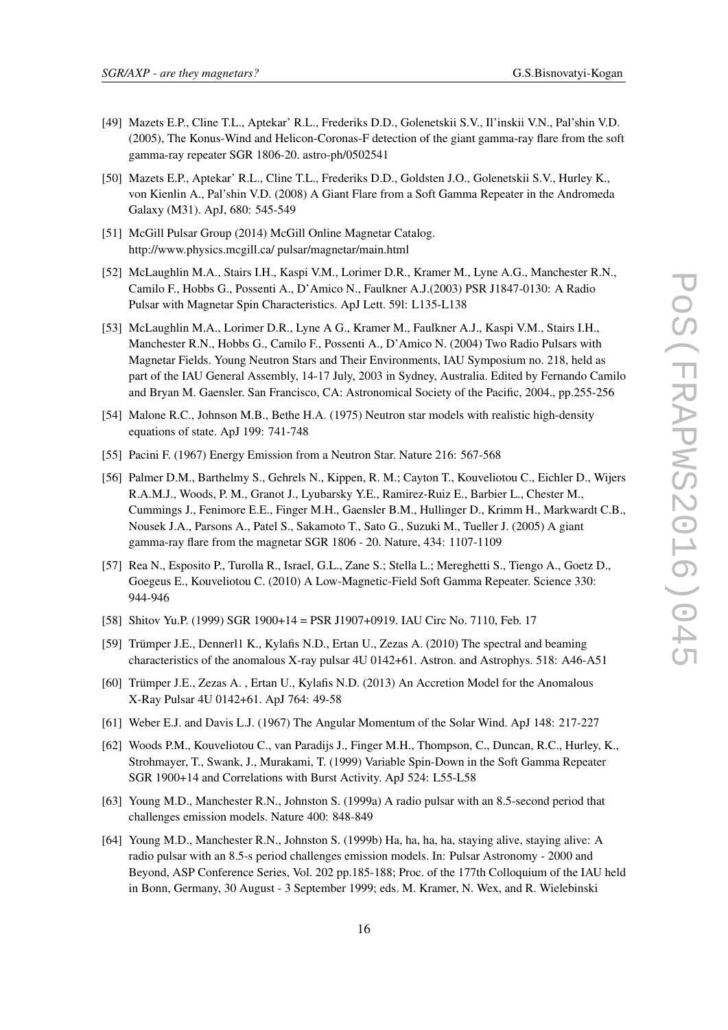- <span id="page-16-0"></span>[49] Mazets E.P., Cline T.L., Aptekar' R.L., Frederiks D.D., Golenetskii S.V., Il'inskii V.N., Pal'shin V.D. (2005), The Konus-Wind and Helicon-Coronas-F detection of the giant gamma-ray flare from the soft gamma-ray repeater SGR 1806-20. astro-ph/0502541
- [50] Mazets E.P., Aptekar' R.L., Cline T.L., Frederiks D.D., Goldsten J.O., Golenetskii S.V., Hurley K., von Kienlin A., Pal'shin V.D. (2008) A Giant Flare from a Soft Gamma Repeater in the Andromeda Galaxy (M31). ApJ, 680: 545-549
- [51] McGill Pulsar Group (2014) McGill Online Magnetar Catalog. http://www.physics.mcgill.ca/ pulsar/magnetar/main.html
- [52] McLaughlin M.A., Stairs I.H., Kaspi V.M., Lorimer D.R., Kramer M., Lyne A.G., Manchester R.N., Camilo F., Hobbs G., Possenti A., D'Amico N., Faulkner A.J.(2003) PSR J1847-0130: A Radio Pulsar with Magnetar Spin Characteristics. ApJ Lett. 59l: L135-L138
- [53] McLaughlin M.A., Lorimer D.R., Lyne A G., Kramer M., Faulkner A.J., Kaspi V.M., Stairs I.H., Manchester R.N., Hobbs G., Camilo F., Possenti A., D'Amico N. (2004) Two Radio Pulsars with Magnetar Fields. Young Neutron Stars and Their Environments, IAU Symposium no. 218, held as part of the IAU General Assembly, 14-17 July, 2003 in Sydney, Australia. Edited by Fernando Camilo and Bryan M. Gaensler. San Francisco, CA: Astronomical Society of the Pacific, 2004., pp.255-256
- [54] Malone R.C., Johnson M.B., Bethe H.A. (1975) Neutron star models with realistic high-density equations of state. ApJ 199: 741-748
- [55] Pacini F. (1967) Energy Emission from a Neutron Star. Nature 216: 567-568
- [56] Palmer D.M., Barthelmy S., Gehrels N., Kippen, R. M.; Cayton T., Kouveliotou C., Eichler D., Wijers R.A.M.J., Woods, P. M., Granot J., Lyubarsky Y.E., Ramirez-Ruiz E., Barbier L., Chester M., Cummings J., Fenimore E.E., Finger M.H., Gaensler B.M., Hullinger D., Krimm H., Markwardt C.B., Nousek J.A., Parsons A., Patel S., Sakamoto T., Sato G., Suzuki M., Tueller J. (2005) A giant gamma-ray flare from the magnetar SGR 1806 - 20. Nature, 434: 1107-1109
- [57] Rea N., Esposito P., Turolla R., Israel, G.L., Zane S.; Stella L.; Mereghetti S., Tiengo A., Goetz D., Goegeus E., Kouveliotou C. (2010) A Low-Magnetic-Field Soft Gamma Repeater. Science 330: 944-946
- [58] Shitov Yu.P. (1999) SGR 1900+14 = PSR J1907+0919. IAU Circ No. 7110, Feb. 17
- [59] Trümper J.E., Dennerl1 K., Kylafis N.D., Ertan U., Zezas A. (2010) The spectral and beaming characteristics of the anomalous X-ray pulsar 4U 0142+61. Astron. and Astrophys. 518: A46-A51
- [60] Trümper J.E., Zezas A. , Ertan U., Kylafis N.D. (2013) An Accretion Model for the Anomalous X-Ray Pulsar 4U 0142+61. ApJ 764: 49-58
- [61] Weber E.J. and Davis L.J. (1967) The Angular Momentum of the Solar Wind. ApJ 148: 217-227
- [62] Woods P.M., Kouveliotou C., van Paradijs J., Finger M.H., Thompson, C., Duncan, R.C., Hurley, K., Strohmayer, T., Swank, J., Murakami, T. (1999) Variable Spin-Down in the Soft Gamma Repeater SGR 1900+14 and Correlations with Burst Activity. ApJ 524: L55-L58
- [63] Young M.D., Manchester R.N., Johnston S. (1999a) A radio pulsar with an 8.5-second period that challenges emission models. Nature 400: 848-849
- [64] Young M.D., Manchester R.N., Johnston S. (1999b) Ha, ha, ha, ha, staying alive, staying alive: A radio pulsar with an 8.5-s period challenges emission models. In: Pulsar Astronomy - 2000 and Beyond, ASP Conference Series, Vol. 202 pp.185-188; Proc. of the 177th Colloquium of the IAU held in Bonn, Germany, 30 August - 3 September 1999; eds. M. Kramer, N. Wex, and R. Wielebinski